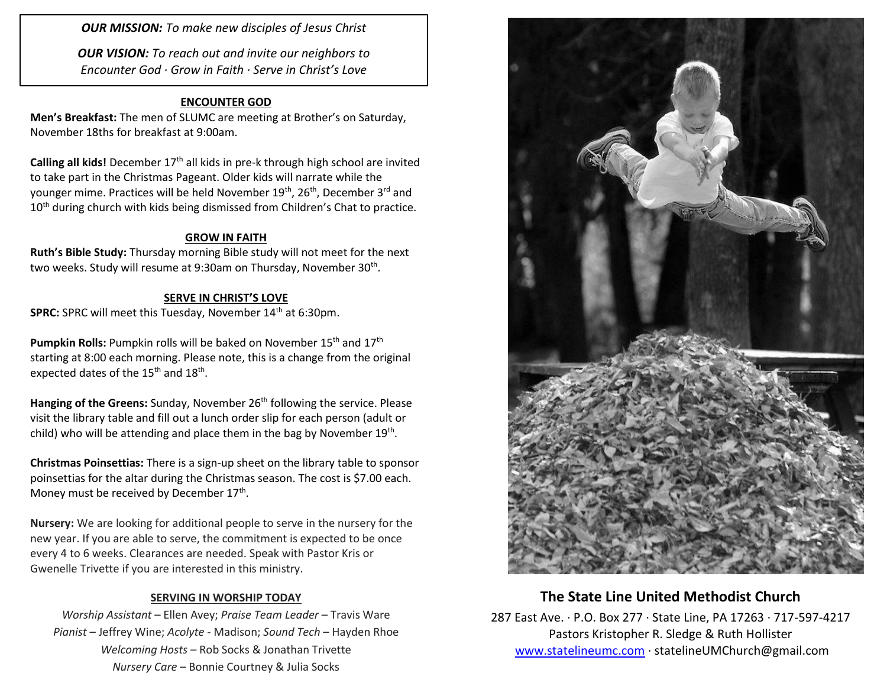*OUR MISSION: To make new disciples of Jesus Christ*

*OUR VISION: To reach out and invite our neighbors to Encounter God · Grow in Faith · Serve in Christ's Love*

### **ENCOUNTER GOD**

**Men's Breakfast:** The men of SLUMC are meeting at Brother's on Saturday, November 18ths for breakfast at 9:00am.

**Calling all kids!** December 17<sup>th</sup> all kids in pre-k through high school are invited to take part in the Christmas Pageant. Older kids will narrate while the younger mime. Practices will be held November 19<sup>th</sup>, 26<sup>th</sup>, December 3<sup>rd</sup> and 10<sup>th</sup> during church with kids being dismissed from Children's Chat to practice.

#### **GROW IN FAITH**

**Ruth's Bible Study:** Thursday morning Bible study will not meet for the next two weeks. Study will resume at 9:30am on Thursday, November 30<sup>th</sup>.

#### **SERVE IN CHRIST'S LOVE**

**SPRC:** SPRC will meet this Tuesday, November 14<sup>th</sup> at 6:30pm.

**Pumpkin Rolls:** Pumpkin rolls will be baked on November 15<sup>th</sup> and 17<sup>th</sup> starting at 8:00 each morning. Please note, this is a change from the original expected dates of the 15<sup>th</sup> and 18<sup>th</sup>.

Hanging of the Greens: Sunday, November 26<sup>th</sup> following the service. Please visit the library table and fill out a lunch order slip for each person (adult or child) who will be attending and place them in the bag by November 19<sup>th</sup>.

**Christmas Poinsettias:** There is a sign-up sheet on the library table to sponsor poinsettias for the altar during the Christmas season. The cost is \$7.00 each. Money must be received by December 17<sup>th</sup>.

**Nursery:** We are looking for additional people to serve in the nursery for the new year. If you are able to serve, the commitment is expected to be once every 4 to 6 weeks. Clearances are needed. Speak with Pastor Kris or Gwenelle Trivette if you are interested in this ministry.

#### **SERVING IN WORSHIP TODAY**

*Worship Assistant* – Ellen Avey; *Praise Team Leader* – Travis Ware *Pianist* – Jeffrey Wine; *Acolyte* - Madison; *Sound Tech* – Hayden Rhoe *Welcoming Hosts* – Rob Socks & Jonathan Trivette *Nursery Care* – Bonnie Courtney & Julia Socks



### **The State Line United Methodist Church**

287 East Ave. · P.O. Box 277 · State Line, PA 17263 · 717-597-4217 Pastors Kristopher R. Sledge & Ruth Hollister [www.statelineumc.com](http://www.statelineumc.com/) · statelineUMChurch@gmail.com